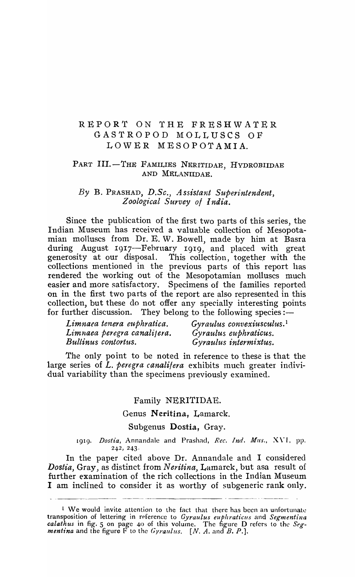# REPOR'f ON THE FRESHWATER GASTROPOD MOLLUSCS OF LOWER MESOPOTAMIA.

# PART III.-THE FAMILIES NERITIDAE, HYDROBIIDAE AND MELANIIDAE.

## By B. PRASHAD, D.Sc., Assistant Superintendent, *Zoological Survey ot India.*

Since the publication of the first two parts of this series, the Indian Museum has received a valuable collection of Mesopotamian molluscs from Dr. E. W. Bowell, made by him at Basra during August 1917—February 1919, and placed with great<br>generosity at our disposal. This collection, together with the This collection, together with the collections mentioned in the previous parts of this report has rendered the working out of the Mesopotamian molluscs much easier and more satisfactory. Specimens of the families reported on in the first two parts of the report are also represented in this collection, but these do not offer any specially interesting points for further discussion. They belong to the following species :-

| Limnaea tenera euphratica.  | Gyraulus convexiusculus. <sup>1</sup> |
|-----------------------------|---------------------------------------|
| Limnaea peregra canalitera. | Gyraulus euphraticus.                 |
| Bullinus contortus.         | Gyraulus intermixtus.                 |

The only point to be noted in reference to these is that the large series of *L. peregra canalifera* exhibits much greater individual variability than the specimens previously examined.

#### Family NERITIDAE.

#### Genus Neritina, Lamarck.

#### Subgenus Dostia, Gray.

1919. *Dostia,* Annandale and Prashad, *Rec. Ind. Mus.,* X \"1. pp. 242, 243·

In the paper cited above Dr. Annandale and I considered *Dostia, Gray, as distinct from Neritina, Lamarck, but asa result of* further examination of the rich collections in the Indian Museum I am inclined to consider it as worthy of subgeneric rank only.

<sup>&</sup>lt;sup>1</sup> We would invite attention to the fact that there has been an unfortunate transposition of lettering in reference to *Gyraulus euphraticus* and *Segmentina calathus* in fig. 5 on page 40 of this volume. The figure D refers to the *Segmentt'na* and the figure F to the *Gyraulus. [N. A.* and *B. P.].*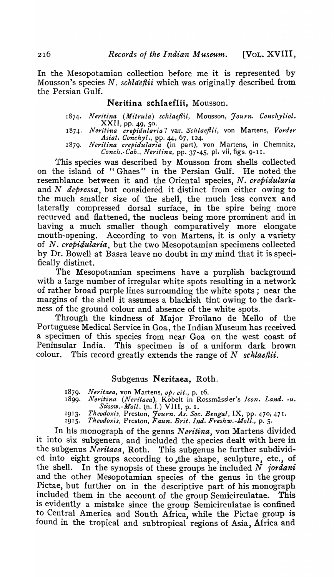In the Mesopotamian collection before me it is represented by Mousson's species N. *schlaeflii* which was originally described from the Persian Gulf.

## Neritina schlaeflii, Mousson.

- *1874. Neritina (Mitrula) schlaeJlii,* Mousson, *Journ. Conchyliol.*   $XXII$ , pp. 49, 50.
- 1874. *Neritina crepidularia?* var. *Schlaeflii*, von Martens, *Vorder Asiat. Conchyl.,* pp. 44, 67, 124.
- 1879. Neritina crepidularia (in part), von Martens, in Chemnitz, *Conch.·Cab .. Neritina,* pp. 37-45, pl. vii, figs. 9-1 I.

This species was described by Mousson from shells collected on the island of "Ghaes" in the Persian Gulf. He noted the resemblance between it and the Oriental species, N. *crepidularia*  and N *depressa*, but considered it distinct from either owing to the much smaller size of the shell, the much less convex and laterally compressed dorsal surface, in the spire being more recurved and flattened, the nucleus being more prominent and in having a much smaller though comparatively more elongate mouth-opening. According to von Martens, it is only a variety of N. *crepi4ularia,* but the two Mesopotamian specimens collected by Dr. Bowell at Basra leave no doubt in my mind that it is specifically distinct.

The Mesopotamian specimens have a purplish background with a large number of irregular white spots resulting in a network of rather broad purple lines surrounding the white spots; near the margins of the shell it assumes a blackish tint owing to the darkness of the ground colour and absence of the white spots.

Through the kindness of Major Froilano de Mello of the Portuguese Medical Service in Goa, the Indian Museum has received a specimen of this species from near Goa on the west coast of Peninsular India. This specimen is of a uniform dark brown colour. This record greatly extends the range of N *schlaeflii.* 

## Subgenus Neritaea. Roth.

1879. Neritaea, von Martens, op. cit., p. 16.

- 18*99. Neritina (Neritaea),* Kobelt in Rossmassler's *Icon. Land. -u. Sussw.-Moll.* (n. f.) VIII, p. 1.
- 1913. Theodoxis, Preston, *Journ. As. Soc. Bengal*, IX, pp. 470, 471.
- *1915. Theodoxis,* Preston, *Faun. Brit. Ind. Freshw.-Moll.,* p. 5.

In his monograph of the genus *N eritina,* von Martens divided it into six subgenera, and included the species dealt with here in the subgenus *Neritaea*, Roth. This subgenus he further subdivided into eight groups according to the shape, sculpture, etc., of the shell. In the synopsis of these groups he included N *1'ordani*  and the other Mesopotamian species of the genus in the group Pictae, but further on in the descriptive part of his monograph included them in the account of the group Semicirculatae. This is evidently a mistake since the group Semicirculatae is confined to Central America and South Africa, while the Pictae group is found in the tropical and subtropical regions of Asia, Africa and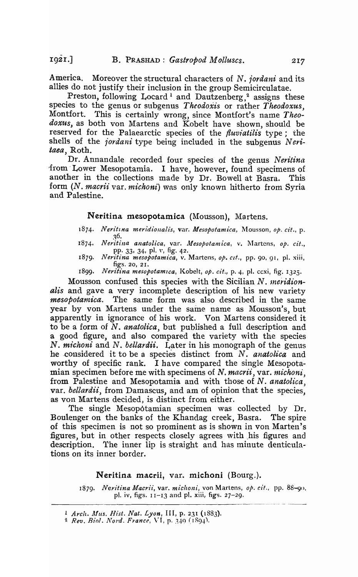America. Moreover the structural characters of N. *jordani* and its allies do not justify their inclusion in the group Semicirculatae.

Preston, following Locard<sup>1</sup> and Dautzenberg,<sup>2</sup> assigns these species to the genus or subgenus *Theodoxis* or rather *Theodoxus*, Montfort. This is certainly wrong, since Montfort's name *Theodox'les,* as both von Martens and Kobelt have shown, should be reserved for the Palaearctic species of the *fluviatilis* type; the shells of the *jordani* type being included in the subgenus Neri*taea,* Roth.

Dr. Annandale recorded four species of the genus *Neritina*  'from' Lower Mesopotamia. I have, however, found specimens of another in the collections made by Dr. Bowell at Basra. This form *(N. macrii* var. *michoni)* was only known hitherto from Syria and Palestine.

## Neritina mesopotamica (Mousson). Martens.

- *1874. Neritlna meridiollalis,* var. *Mesopotamica,* l\10usson, *Ope cit.,* p. ~6.
- 1874. Neritina anatolica, var. Mesopotamica, v. Martens, op. cit., pp. 33, 34, pI. v, fig. 42.
- 1879. Neritina mesopotamica, v. Martens, op. cit., pp. 90, 91, pl. xiii, figs. 20, 21.
- 1899. Neritina mesopotamica, Kobelt, op. cit., p. 4, pl. ccxi, fig. 1325.

Mousson confused this species with the Sicilian N. *1neridionalis* and gave a very incomplete description of his new variety *mesopotarnica.* The same form was also described in the same year by von Martens under the saine name as Mousson's, but apparently in ignorance of his work. Von Martens considered it to be a form of *N. anatolica,* but published a full description and a good figure, and also compared the variety with the species N. michoni and N. *bellardii*. Later in his monograph of the genus he -considered it to be a species distinct from N. *anatolica* and worthy of specific rank. I have compared the single Mesopotamian specimen before me with specimens of *N. macrii*, var. *michoni*, from Palestine and Mesopotamia and with those of N. *anatolica,*  var. *bellardii,* from Damascus, and am of opinion that the species, as von Martens decided, is distinct from either.

The single Mesopotamian specimen was collected by Dr. Boulenger on the banks of the Khandag creek, Basra. The spire of this specimen is not so prominent as is shown in von Marten's figures, but in other respects closely agrees with his figures and description. The inner lip is straight and has minute denticulations on its inner border.

#### Neritina macrii, var. michoni (Bourg.).

1879. Neritina Macrii, var. michoni, von Martens, op. cit., pp. 88-90, pI. iv, figs. 11-13 and pI. xiii, figs. 27-29.

<sup>1</sup>*Arch.* IIlus. *Hist. Nat. Lyon,* III, p. 231 (1883).

<sup>&</sup>lt;sup>2</sup> Rev. Biol. Nord. France, VI, p. 340 (1894).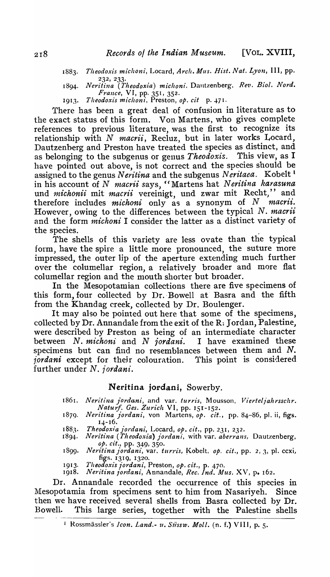- *1883. Theodoxis miclzoni,* Locard, *Arch. Mus. Rist. Nat. Lyon,* III, pp. 232, 233·
- 1894. *Neritina (Theodoxia) michoni*, Dautzenberg, Rev. Biol. Nord. *France*, VI, pp. 351, 352.
- 1913. *Theodoxis michoni*, Preston, *op. cit* p. 471.

There has been a great deal of confusion in literature as to the exact status of this form. Von Martens, who gives complete references to previous literature, was the first to recognize its relationship with N *macrii*, Recluz, but in later works Locard, Dautzenberg and Preston have treated the species as distinct, and as belonging to the subgenus or genus *Theodoxis.* This view, as I have pointed out above, is not correct and the species should be assigned to the genus *N eritina* and the subgenus *N eritaea.* Kobelt <sup>I</sup> in his account of N *macrii* says, "Martens hat Neritina karasuna und *michonii* mit *macrii* vereinigt, und zwar mit Recht," and therefore includes *michoni* only as a synonym of N *macrii*. However, owing to the differences bet\veen the typical N. *macrii*  and the form *michoni* I consider the latter as a distinct variety of the species.

The shells of this variety are less ovate than the typical form, have the spire a little more pronounced, the suture more impressed, the outer lip of the aperture extending much further over the columellar region, a relatively broader and more flat columellar region and the mouth shorter but broader.

In the Mesopotamian collections there are five specimens of this form, four collected by Dr. Bowell at Basra and the fifth from the Khandag creek, collected by Dr. Boulenger.

It may also be pointed out here that some of the specimens, collected by Dr. Annandale from the exit of the R: Jordan, Palestine, were described by Preston as being of an intermediate character between N. *michoni* and N *jordani.* I have examined these specimens but can find no resemblances between them and  $N$ . *jordani* except for their colouration. This point is considered further under N. jordani.

## Neritina jordani, Sowerby.

- 1861. Neritina jordani, and var. *turris*, Mousson, *Vierteljahrsschr. Naturf. Ges. Zurich* VI, pp. 151-152.
- 1879. Neritina jordani, von Martens, op. cit., pp. 84-86, pl. ii, figs. 14-16.
- 1883. *Theodoxia jordani*, Locard, *op. cit.*, pp. 231, 232.<br>1894. Neritina (Theodoxia) jordani, with var. aberrans
- $Neritina$  (*Theodoxia*) jordani, with var. *aberrans*, Dautzenberg, *op.* dt., pp. 349, 350 •
- 1899. *Neritina jordani*, var. *turris*, Kobelt, *op. cit.*, pp. 2, 3, pl. ccxi, figs. 1319, 1320.
- 191*3. l'heodoxis jordani,* Preston, *op. cit.,* p. 470.
- 1918. *Neritina jordani, Annandale, Rec. Ind. Mus.* XV, p. 162.

Dr. Annandale recorded the occurrence of this species in Mesopotamia from specimens sent to him from Nasariyeh. Since then we have received several shells from Basra collected by Dr. Bowell. This large series, together with the Palestine shells

<sup>!</sup> Rossmassler's *Icon. Land.- u. Siissw. Moll.* (n. f.) VIII, p. 5.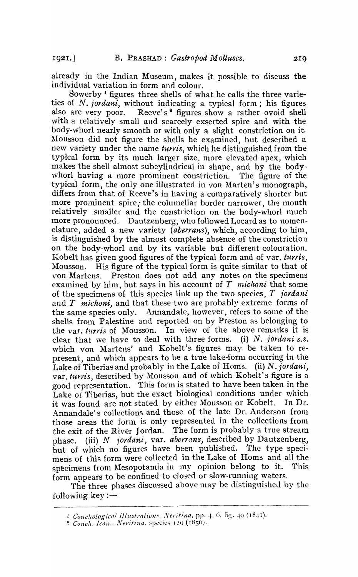already in the Indian Museum, makes it possible to discuss the individual variation in form and colour.

Sowerby<sup>1</sup> figures three shells of what he calls the three varieties of *N. jordani*, without indicating a typical form; his figures also are very poor. Reeve's<sup>4</sup> figures show a rather ovoid shell Reeve's<sup>\$</sup> figures show a rather ovoid shell with a relatively small and scarcely exserted spire and with the body-whorl nearly smooth or with only a slight constriction on it. Mousson did not figure the shells he examined, but described a new variety under the name *turris,* which he distinguished from the typical form by its much larger size, more elevated apex, which makes the shell almost subcylindrical in shape, and by the bodywhorl having a more prominent constriction. The figure of the typical form, the only one illustrated in von Marten's monograph, differs from that of Reeve's in having a comparatively shorter but more prominent spire, the columellar border narrower, the mouth relatively smaller and the constriction on the body-whorl much more pronounced. Dautzenberg, who followed Locard as to nomenclature, added a new variety *(aberrans)*, which, according to him, is distinguished by the almost complete absence of the constriction on the body-whorl and by its variable but different colouration. Kobelt has given good figures of the typical form and of var. *turris*, Mousson. His figure of the typical form is quite similar to that of von Martens. Preston does not add any notes on the specimens examined by him, but says in his account of  $T$  *michoni* that some of the specimens of this species link up the two species, T *iordani*  and T *michoni,* and that these two are probably extreme forms of the same species only. Annandale, however, refers to some of the shells from Palestine and reported on by Preston as belonging to the var. *turris* of Mousson. In view of the above remarks it is clear that we have to deal with three forms. (i) N. *lordani S.s.*  which von Martens' and Kohelt's figures may be taken to represent, and which appears to be a true lake-form occurring in the Lake of Tiberias and probably in the Lake of Homs. (ii) N. *jordani*, var. turris, described by Mousson and of which Kobelt's figure is a good representation. This forni is stated to have been taken in the Lake of Tiberias, but the exact biological conditions under which it was found are not stated by either Mousson or Kobelt. In Dr. Annandale's collections and those of the late Dr. Anderson from those areas the form is only represented in the collections from the exit of the River Jordan. The form is probably a true stream phase. (iii) N *jordani,* var. *aberrans,* described by Dautzenberg, but of which no figures have been published. The type specimens of this form were collected in the Lake of Homs and all the specimens from Mesopotamia in my opinion belong to it. This form appears to be confined to closed or slow-running waters.

The three phases discussed above may be distinguished by the following key : $-$ 

*l* Conchological illustrations. Neritina, pp. 4, 6, fig. 49 (18.41).

<sup>&</sup>lt;sup>2</sup> Conch. *Icon.*, Neritina, species 120 (1856).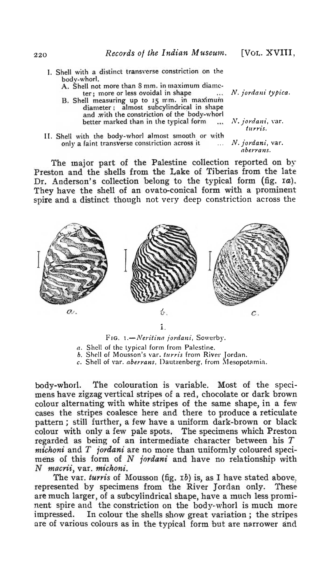I. Shell with a distinct transverse constriction on the bodv·whorl.

A. Shell not more than 8 mm. in maximum diame-<br>ter; more or less ovoidal in shape

- B. Shell measuring up to 15 mm. in maximum diameter; almost subcylindrical in shape and with the constriction of the body-whorl better marked than in the typical form
- II. Shell with the body-whorl almost smooth or with only a faint transverse constriction across it ... N. jordani, var.

The major part of the Palestine collection reported on by Preston and the shells from the Lake of Tiberias from the late Dr. Anderson's collection belong to the typical form (fig. 1a). They have the shell of an ovato·conical form with a prominent spire and a distinct though not very deep constriction across the



1.

FIG. *1.-Neritina jordani*, Sowerby.

*a.* Shell of the typical form from Palestine.

*b.* Shell of Mousson's \'ar. *tllYl'is* from River Jordan.

*c.* Shell of var. *aberrans*, Dautzenberg, from Mesopotamia.

body-whorl. The colouration is variable. Most of the specimens have zigzag vertical stripes of a red, chocolate or dark brown colour alternating with white stripes of the same shape, in a few cases the stripes coalesce here and there to produce a reticulate pattern; still further, a few have a uniform dark-brown or black colour with only a few pale spots. The specimens which Preston regarded as being of an intermediate character between his  $T$  $michoni$  and  $T$  *jordani* are no more than uniformly coloured specimens of this form of N jordani and have no relationship with  $N$  *macrii*, var. *michoni*.

The var. turris of Mousson (fig. 1b) is, as I have stated above. represented by specimens from the River Jordan only. These are much larger, of a subcylindrical shape, have a much less prominent spire and the constriction on the body-whorl is much more impressed. In colour the shells show great variation; the stripes are of various colours as in the typical form but are narrower and

[VOL. XVIII,

*N,. jOl'dan£ typica,* 

N. jordani, var. turris.

 $aberrans.$ 

220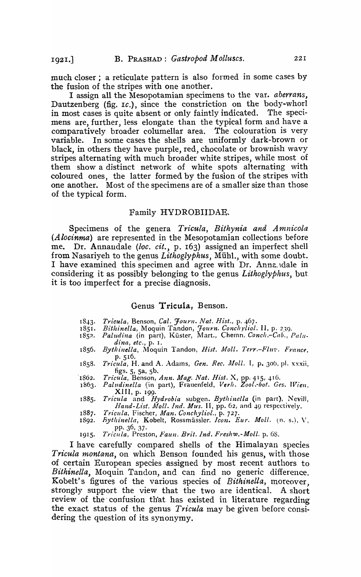much closer; a reticulate pattern is also formed in some cases by the fusion of the stripes with one another.

I assign all the Mesopotamian specimens to the var. *aberrans,*  Dautzenberg (fig. 1c.), since the constriction on the body-whorl in most cases is quite absent or only faintly indicated. The specimens are, further, less elongate than the typical form and have a comparatively broader columellar area. The colouration is very variable. In some cases the shells are uniformly dark-brown or black, in others they have purple, red, chocolate or brownish wavy stripes alternating with much broader white stripes, while most of them show a distinct network of white spots alternating with coloured ones, the latter formed by the fusion of the stripes with one another. Most of the specimens are of a smaller size than those of the typical form.

#### Family HYDROBIIDAE.

Specimens of the genera *Tricula*, Bithynia and Amnicola *(Alocinma)* are represented in the Mesopotamian collections before me. Dr. Annandale (loc. cit., p. 163) assigned an imperfect shell from Nasariyeh to the genus *Lithoglyphus*, Mühl., with some doubt. I have examined this specimen and agree with Dr. Annz. dale in considering it as possibly belonging to the genus *Lithoglyphus,* but. it is too imperfect for a precise diagnosis.

#### Genus Tricula, Benson.

- 1843. Tricula, Benson, Cal. Journ. Nat. Hist., p. 467.<br>1851. Bithinella, Moquin Tandon, Journ. Concliviol.
- 1851. *Bithinella, Moquin Tandon, Journ. Conchyliol.* II, p. 239.
- ISS?. *Paludina* (in part), Kiister, MarL, Chemn. *Conch.-Cab., Pall/ dina, etc.,* p. I. '
- 1856. *Bythinella, Moquin Tandon, Hist. Moll. Terr.-Fluv. France,* p·516. *1858. T1'icula,* H. and A. Adams, *Gen. Rec. jUoll.* I, p. 306, pI. xxxii,
- figs.  $5, 5a, 5b$ .
- 1862. Tricula, Benson, *Ann. Mag. Nat. Hist.* X, pp. 415, 416.
- *1863. Paludinella* (in part), Frauenfeld, *Ver/l. Zool.-bot. Ges. IViell.*  XIII, p. 199.
- 1885. Tricula and *Hydrobia* subgen. *Bythinella* (in part), Nevill, Hand-List. Moll. Ind. Mus. II, pp. 62, and 49 respectively.
- *1887. Trieula,* Fischer, *Man. Conchyliol.,* p. 727.
- *Bythinella*, Kobelt, Rossmässler. Icon. Eur. Moll. (n. s.), V. pp. 36,37.
- *1915. Trieula,* Preston, *Faun. Brit. Ind. Freshw.-Moll.* p. oS.

I have carefully compared shells of the Himalayan species *Tricula montana*, on which Benson founded his genus, with those of certain European species assigned by most recent authors to *Bithinella*, Moquin Tandon, and can find no generic difference. Kobelt's figures of the various species of *Bithinella*, moreover, strongly support the view that the two are identical. A short review of the' confusion th'at has existed in literature regarding the exact status of the genus *Tricula* may be given before considering the question of its synonymy.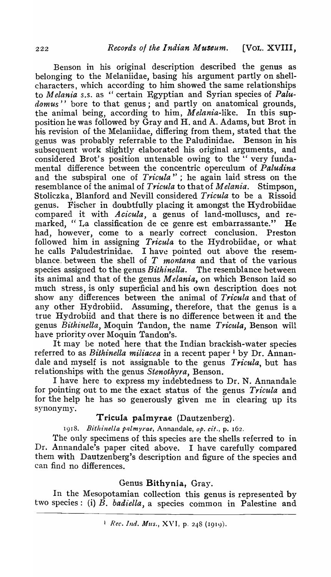Benson in his original description described the genus as belonging to the Melaniidae, basing his argument partly on shellcharacters, which according to him showed the same relationships to *Melania s.s.* as "certain Egyptian and Syrian species of *Palu*domus'' bore to that genus; and partly on anatomical grounds, the animal being, according to him, *Melania-like.* In tbis supposition he was followed by Gray and H. and A. Adams, but Brot in his revision of the Melaniidae, differing from them, stated that the genus was probably referrable to the Paludinidae. Benson in his subsequent work slightly elaborated his original arguments, and considered Brot's position untenable owing to the "very fundamental difference between the concentric operculum of *Paludina*  and the subspiral one of *Trieula"* ; he again laid stress on the resemblance of the animal of *Trieula* to that of *Melania.* Stimpson, Stoliczka, Blanford and Nevill considered *Tricula* to be a Rissoid genus. Fischer in doubtfully placing it amongst the Hydrobiidae compared it with *Acicula*, a genus of land-molluscs, and remarked, "La classification de ce genre est embarrassante." He had, however, come to a nearly cotrect conclusion. Preston followed him in assigning *Tricula* to the Hydrobiidae, or what<br>he calls Paludestrinidae. I have pointed out above the resem-I have pointed out above the resemblance. between the shell of *T 1nontana* and that of the various species assigned to the genus *Bithinella*. The resemblance between its animal and that of the genus *Melania*, on which Benson laid so much stress, is only superficial and his own description does not show any differences bet\veen the animal of *Tricula* and that of any other Hydrobiid. Assuming, therefore, that the genus is a true Hydrobiid and that there is no difference between it and the genus *Bithinella*, Moquin Tandon, the name *Tricula*, Benson will have priority over Moquin Tandon's.

It may be noted here that the Indian brackish-water species referred to as *Bithinella miliacea* in a recent paper 1 by Dr. Annandale and nryself is not assignable to the genus *Trieula,* but has relationships- with the genus *Stenothyra,* Benson.

I have here to express my indebtedness to Dr. N. Annandale for pointing out to me the exact status of the genus  $Tricula$  and for the help he has so generously given me in clearing up its synonymy.

# Tricula palmyrae (Dautzenberg).

1918. *Bithinella palmyrae*, Annandale, op. cit., p. 162.

The only specimens of this species are the shells referred to in Dr. Annandale's paper cited above. I have carefully compared them with Dautzenberg's description and figure of the species and can find no differences.

# Genus Bithynia, Gray.

In the Mesopotamian collection this genus is represented by two species: (i) *B. badiella,* a species common in Palestine and

<sup>1</sup> Rec. Ind. Mus., XVI, p. 248 (1919).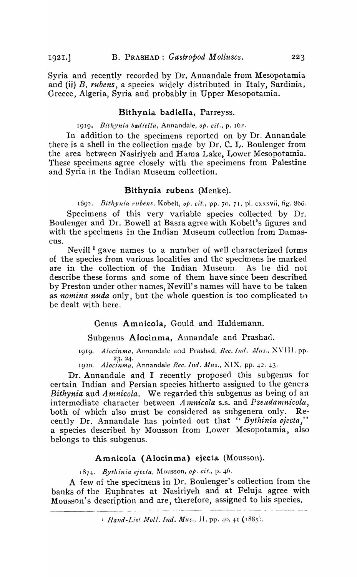Syria and recently recorded by Dr. Annandale from Mesopotamia and (ii) *B. rubens,* a species widely distributed in Italy, Sardinia, Greece, Algeria, Syria and probably in Upper Mesopotamia.

## Bithynia badiella, Parreyss.

### 1919. *Bithynia badiella,* Annandale, *op. cit.,* p. 162.

In addition to the specimens reported on by Dr. Annandale there is a shell in the collection made by Dr. C. L. Boulenger from the area between Nasiriyeh and Hama Lake, Lower Mesopotamia. These specimens agree closely with the specimens from Palestine and Syria in the Indian Museum collection.

### Bithynia rubens (Menke).

1892. *Bithynia "ltbens,* Kobelt, *op. cit.,* pp. 70, 71, pI. cxxxvii, fig. 866. Specimens of this very variable species collected by Dr. Boulenger and Dr. Bowell at Basra agree with Kobelt's figures and with the specimens in the Indian Museum collection from Damascus.

Nevill  $\frac{1}{2}$  gave names to a number of well characterized forms of the species from various localities and the specimens he marked are in the collection of the Indian Museum. As he did not describe these forms and some of them have since been described by Preston under other names, Nevill's names will have to be taken as *nomina nuda* only, but the whole question is too complicated tn be dealt with here.

Genus Amnicola, Gould and Haldemann.

Subgenus Alocinma, Annandale and Prashad.

1919. *Alocinma*, Annandale and Prashad, Rec. Ind. Mus., XVIII, pp. 23,24·

1920. *Alocinma*, Annandale *Rec. Ind. Mus.*, XIX, pp. 42, 43.

Dr. Annandale and I recently proposed this subgenus for certain Indian and Persian species hitherto assigned to the genera *Bithynia* and *Amnicola*. We regarded this subgenus as being of an intermediate character between *Amnicola* s.s. and *Pseudamnicola*, both of which also must be considered as subgenera only. Recently Dr. Annandale has pointed out that " *Bythinia ejecta*," a species described by Mousson from Lower Mesopotamia, also belongs to this subgenus.

#### Amnicola (Alocinma) ejecta (Mousson).

1874. Bythinia ejecta, Mousson, op. cit., p. 46.

A few of the specimens in Dr. Boulenger's collection from the banks of the Euphrates at Nasiriyeh and at Feluja agree with Mousson's description and are, therefore, assigned to his species.

*Hand-List Moll. Ind. Mus.*, *II*, pp. 40, 41 (1885).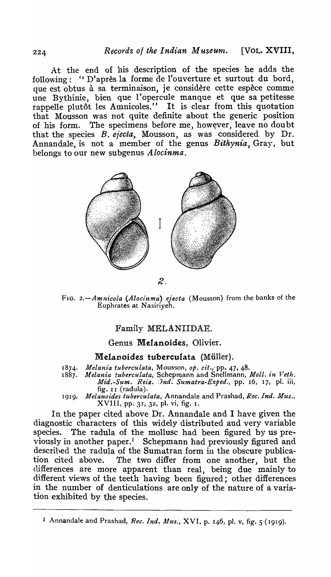At the end of his description of the species he adds the following: "D'après la forme de l'ouverture et surtout du bord, que est obtus à sa terminaison, je considère cette espèce comme une Bythinie, bien que l'opercule manque et que sa petitesse rappelle plutôt les Amnicoles." It is clear from this quotation that Mousson was not quite definite about the generic position of his form. The specimens before me, however, leave no doubt that the species. B. *ejecta,* Mousson, as was considered by Dr. Annandale, is not a member of the genus *Bithynia,* Gray, but belongs to our new subgenus *Alocinma.* 



FIG. *2.-Amnieola (Aloeinma) ejecta* (Mousson) from the banks of the Euphrates at Nasiriyeh.

# Family MELANIIDAE.

# Genus MeIanoides, Olivier.

## Melanoides tuberculata (Miiller).

- 1874. *Melania tuberculata, Mousson, op. cit.,* pp. 47, 48.
- 1887. Melania tuberculata, Schepmann and Snellmann, Moll. in Veth. *Mid.-Sum. Reiz.*  $\partial nd$ *. Sumatra-Exped.*, pp. 16, 17, pl. iii, maa:-5am: 1:012
- 1919. *Melanoz'des tubereulata,* Annandale and Prashad, *Bee. Ind. Mus.,*  XVIII, pp. 31, 32, pl. vi, fig.·J.

In the paper cited above Dr. Annandale and I have given the diagnostic characters of this widely distributed and very variable species. The radula of the mollusc had been figured by us previously in another paper.<sup>1</sup> Schepmann had previously figured and descrihed the radula of the Sumatran form in the obscure publication cited above. The two differ from one another, but the differences are more apparent than real, being due mainly to different views of the teeth having been figured; other differences in the number of denticulations are only of the nature of a variation exhibited by the species.

1 Annandale and Prashad, *Ree. Ind. Alus.,* XVI, p. 146, pI. v, fig. 5 (1919).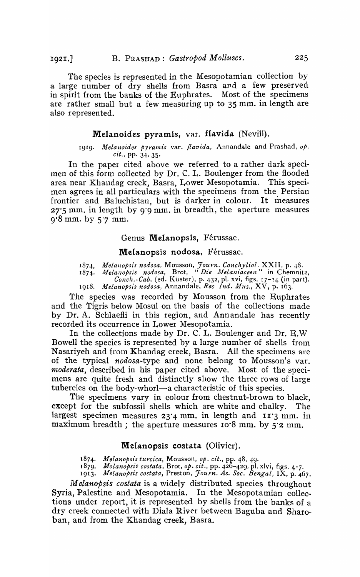The species is represented in the Mesopotamian collection by a large number of dry shells from Basra and a few preserved in spirit from the banks of the Euphrates. Most of the specimens are rather small but a few measuring up to 35 mm. in length are also represented.

#### Melanoides pyramis, var. flavida (Nevill).

#### 1919. *Melanoides pyramis var. flavida*, Annandale and Prashad, op. *cit.,* pp. 34, 35.

In the paper cited above we referred to a rather dark specimen of this form collected by Dr. C. I.. Boulenger from the flooded area near Khandag creek, Basra, Lower Mesopotamia. This specimen agrees in all particulars with the specimens from the Persian frontier and Baluchistan, but is darker in colour. It measures  $27.5$  mm. in length by 9.9 mm. in breadth, the aperture measures 9-8 mm. by 5'7 mm.

#### Genus Melanopsis, Férussac.

#### Melanopsis nodosa, Férussac.

187..f.. *Mela1zopsis nodosa,* Mousson, *Journ. Conchyliol.* XXI I, p. 48.

1874. Melanopsis nodosa, Brot, "Die Melaniaceen" in Chemnitz, Conch.-Cab. (ed. Küster), p. 432, pl. xvi, figs. 17-24 (in part). 1918. *Melanopsis nodosa*, Annandale, *Rec Ind. Mus.*, XV, p. 163.

The species was recorded by Mousson from the Euphrates and the Tigris below Mosul on the basis of the collections made by Dr. A. Schlaefli in this region, and Annandale has recently recorded its occurrence in Lower Mesopotamia.

In the collections made by Dr. C. L. Boulenger and Dr. E.W Bowell the species is represented by a large number of shells from Nasariyeh and from Khandag creek, Basra. All the specimens are of the typical *nodosa-type* and none belong to Mousson's var. *moderata,* described in his paper cited above. Most of the specimens are quite fresh and distinctly show the three rows of large tubercles on the body-whorl—a characteristic of this species.

The specimens vary in colour from chestnut-brown to black, except for the subfossil shells which are white and chalky. The largest specimen measures  $23'4$  mm. in length and  $11'3$  mm. in maximum breadth; the aperture measures  $10^8$  mm. by 5.2 mm.

#### Melanopsis costata (Olivier).

1874, *Melanopsis turcica,* Mousson, *op. cit.,* pp. 48, 49.

1879. *Molanopst's costata,* Brot, *Ope cit.,* pp. 426-4291 pI. xlvi, figs. 4-7.

1913. *Melanopsis costata,* Preston, *J0tlyn. As. Soc. Bengal,* IX, p. 467.

*M elanopsis costata* is a widely distributed species throughout Syria, Palestine and Mesopotamia. In the Mesopotamian collections under report, it is represented by shells from the banks of a dry creek connected with Diala River between Baguba and Sharoban, and from. the Khandag creek, Basra.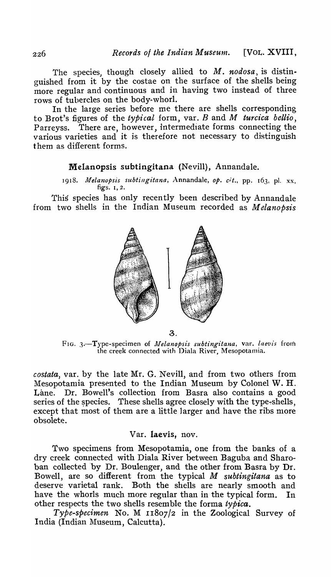The species, though closely allied to M. *nodosa*, is distinguished from it by the costae on the surface of the shells being more regular and continuous and in having two instead of three rows of tubercles on the body-whorl.

In the large series before me there are shells corresponding to Brot's figures of the *typical* form., var. Band *M turcica bellio,*  Parreyss. There are, however, intermediate forms connecting the various varieties and it is therefore not necessary to distinguish them as different forms.

# Melanopsis subtingitana (Nevill), Annandale.

1918. Melanopsis subtingitana, Annandale, op. cit., pp. 163, pl. xx, figs. I, 2.

This species has only recently been described by Annandale from two shells in the Indian Museum recorded as *M elanopsis* 



3.

FIG. 3.-Type-specimen of *Melanopsis subtingitana*, var. *laevis* from the creek connected with Diala River, Mesopotamia.

*costata,* var. by the late Mr. G. Nevill, and from two others from Mesopotamia presented to the Indian Museum by Colonel W. H. Lane. Dr. Bowell's collection from Basra also contains a good series of the species. These shells agree closely with the type-shells, except that most of them are a little larger and have the ribs more obsolete.

### Var. laevis, nov.

Two specimens from Mesopotamia, one from the banks of a dry creek connected with Diala River between Baguba and Sharoban collected 'by Dr. Boulenger, and the other from Basra by Dr. Bowell, are so different from the typical *M subtingitana* as to deserve varietal rank. Both the shells are nearly smooth and have the whorls much more regular than in the typical form. In other respects the two shells resemble the forma *typica.* 

*Type-specimen* No. M I1807/2 in the Zoological Survey of India (Indian Museum, Calcutta).